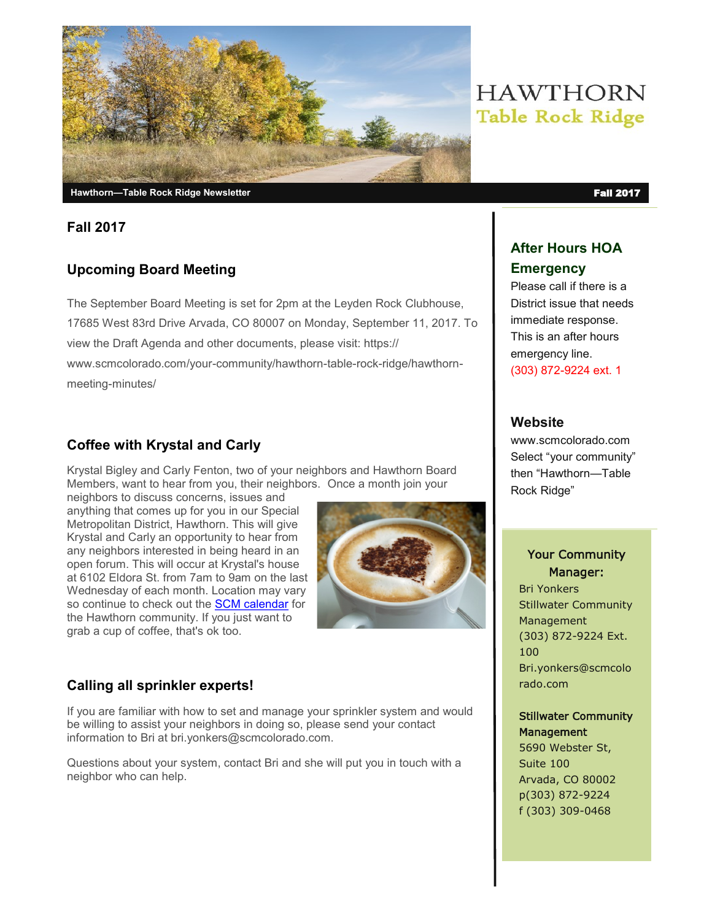

#### **Fall 2017**

# **Upcoming Board Meeting**

The September Board Meeting is set for 2pm at the Leyden Rock Clubhouse, 17685 West 83rd Drive Arvada, CO 80007 on Monday, September 11, 2017. To view the Draft Agenda and other documents, please visit: https:// www.scmcolorado.com/your-community/hawthorn-table-rock-ridge/hawthornmeeting-minutes/

# **Coffee with Krystal and Carly**

Krystal Bigley and Carly Fenton, two of your neighbors and Hawthorn Board Members, want to hear from you, their neighbors. Once a month join your

neighbors to discuss concerns, issues and anything that comes up for you in our Special Metropolitan District, Hawthorn. This will give Krystal and Carly an opportunity to hear from any neighbors interested in being heard in an open forum. This will occur at Krystal's house at 6102 Eldora St. from 7am to 9am on the last Wednesday of each month. Location may vary so continue to check out the **[SCM calendar](https://www.scmcolorado.com/your-community/hawthorn-table-rock-ridge/hawthorn-tale-rock-ridge-calendar/)** for the Hawthorn community. If you just want to grab a cup of coffee, that's ok too.



# **Calling all sprinkler experts!**

If you are familiar with how to set and manage your sprinkler system and would be willing to assist your neighbors in doing so, please send your contact information to Bri at bri.yonkers@scmcolorado.com.

Questions about your system, contact Bri and she will put you in touch with a neighbor who can help.

# **HAWTHORN Table Rock Ridge**

# **After Hours HOA Emergency**

Please call if there is a District issue that needs immediate response. This is an after hours emergency line. (303) 872-9224 ext. 1

## **Website**

www.scmcolorado.com Select "your community" then "Hawthorn—Table Rock Ridge"

#### Your Community Manager:

Bri Yonkers Stillwater Community Management (303) 872-9224 Ext. 100 Bri.yonkers@scmcolo rado.com

#### Stillwater Community **Management**

5690 Webster St, Suite 100 Arvada, CO 80002 p(303) 872-9224 f (303) 309-0468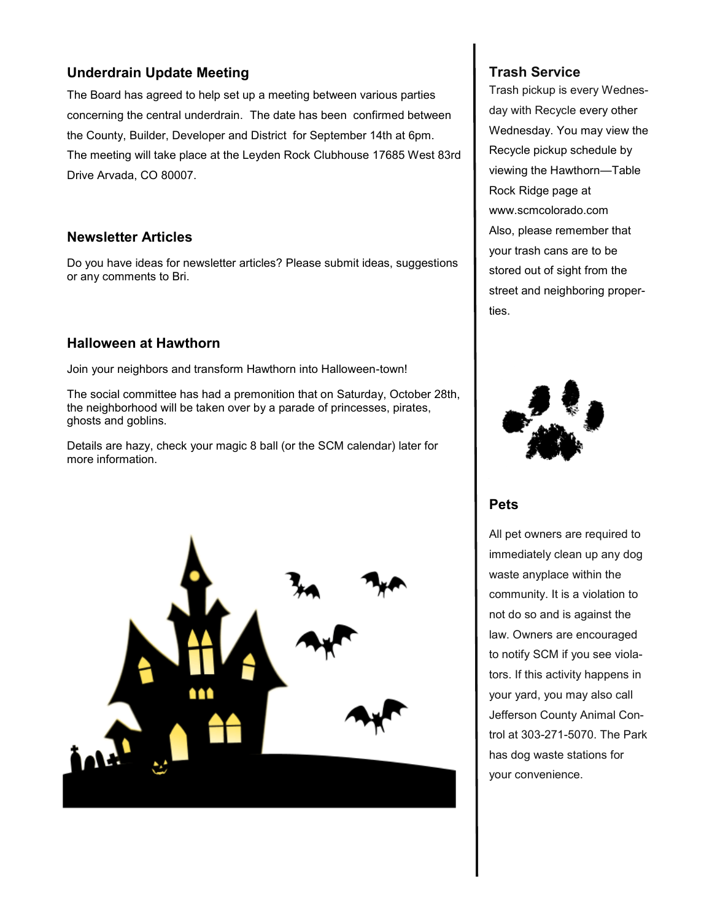#### **Underdrain Update Meeting**

The Board has agreed to help set up a meeting between various parties concerning the central underdrain. The date has been confirmed between the County, Builder, Developer and District for September 14th at 6pm. The meeting will take place at the Leyden Rock Clubhouse 17685 West 83rd Drive Arvada, CO 80007.

#### **Newsletter Articles**

Do you have ideas for newsletter articles? Please submit ideas, suggestions or any comments to Bri.

#### **Halloween at Hawthorn**

Join your neighbors and transform Hawthorn into Halloween-town!

The social committee has had a premonition that on Saturday, October 28th, the neighborhood will be taken over by a parade of princesses, pirates, ghosts and goblins.

Details are hazy, check your magic 8 ball (or the SCM calendar) later for more information.



#### **Trash Service**

Trash pickup is every Wednesday with Recycle every other Wednesday. You may view the Recycle pickup schedule by viewing the Hawthorn—Table Rock Ridge page at www.scmcolorado.com Also, please remember that your trash cans are to be stored out of sight from the street and neighboring properties.



#### **Pets**

All pet owners are required to immediately clean up any dog waste anyplace within the community. It is a violation to not do so and is against the law. Owners are encouraged to notify SCM if you see violators. If this activity happens in your yard, you may also call Jefferson County Animal Control at 303-271-5070. The Park has dog waste stations for your convenience.